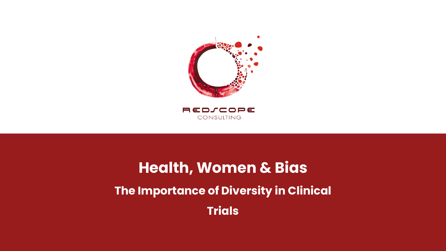

# **Health, Women & Bias The Importance of Diversity in Clinical Trials**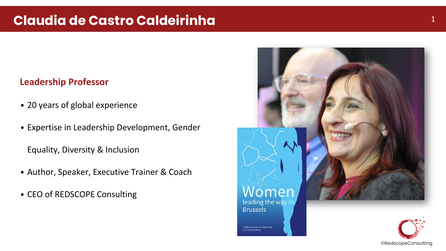#### **Leadership Professor**

- 20 years of global experience
- Expertise in Leadership Development, Gender

Equality, Diversity & Inclusion

- Author, Speaker, Executive Trainer & Coach
- CEO of REDSCOPE Consulting

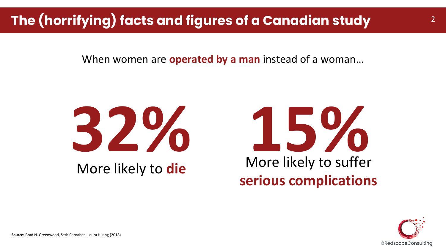## **The (horrifying) facts and figures of a Canadian study**

When women are **operated by a man** instead of a woman…







2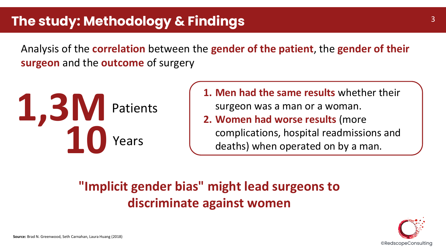Analysis of the **correlation** between the **gender of the patient**, the **gender of their surgeon** and the **outcome** of surgery



**1. Men had the same results** whether their surgeon was a man or a woman. **2. Women had worse results** (more complications, hospital readmissions and deaths) when operated on by a man.

### **"Implicit gender bias" might lead surgeons to discriminate against women**

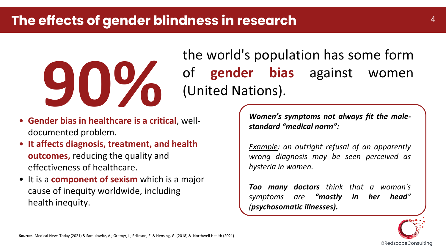### **The effects of gender blindness in research** <sup>4</sup>



the world's population has some form of **gender bias** against women (United Nations).

- **Gender bias in healthcare is a critical**, welldocumented problem.
- **It affects diagnosis, treatment, and health outcomes,** reducing the quality and effectiveness of healthcare.
- It is a **component of sexism** which is a major cause of inequity worldwide, including health inequity.

*Women's symptoms not always fit the malestandard "medical norm":*

*Example: an outright refusal of an apparently wrong diagnosis may be seen perceived as hysteria in women.*

*Too many doctors think that a woman's symptoms are "mostly in her head" (psychosomatic illnesses).*

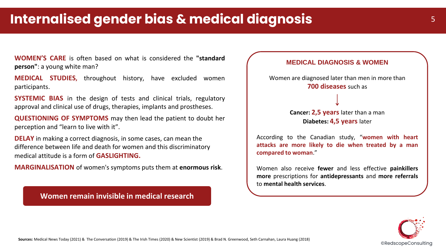**WOMEN'S CARE** is often based on what is considered the **"standard person"**: a young white man?

**MEDICAL STUDIES,** throughout history, have excluded women participants.

**SYSTEMIC BIAS** in the design of tests and clinical trials, regulatory approval and clinical use of drugs, therapies, implants and prostheses.

**QUESTIONING OF SYMPTOMS** may then lead the patient to doubt her perception and "learn to live with it".

**DELAY** in making a correct diagnosis, in some cases, can mean the difference between life and death for women and this discriminatory medical attitude is a form of **GASLIGHTING.** 

**MARGINALISATION** of women's symptoms puts them at **enormous risk**.

**Women remain invisible in medical research**



Women also receive **fewer** and less effective **painkillers more** prescriptions for **antidepressants** and **more referrals** to **mental health services**.

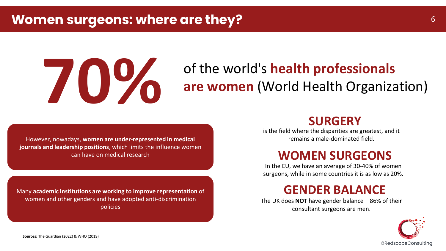

## of the world's **health professionals are women** (World Health Organization)

However, nowadays, **women are under-represented in medical journals and leadership positions**, which limits the influence women can have on medical research

Many **academic institutions are working to improve representation** of women and other genders and have adopted anti-discrimination policies

#### **SURGERY**

is the field where the disparities are greatest, and it remains a male-dominated field.

### **WOMEN SURGEONS**

In the EU, we have an average of 30-40% of women surgeons, while in some countries it is as low as 20%.

#### **GENDER BALANCE**

The UK does **NOT** have gender balance – 86% of their consultant surgeons are men.

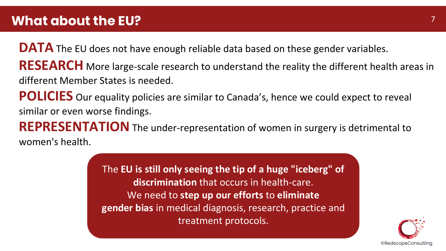**DATA** The EU does not have enough reliable data based on these gender variables. **RESEARCH** More large-scale research to understand the reality the different health areas in different Member States is needed.

**POLICIES** Our equality policies are similar to Canada's, hence we could expect to reveal similar or even worse findings.

**REPRESENTATION**The under-representation of women in surgery is detrimental to women's health.

> The **EU is still only seeing the tip of a huge "iceberg" of discrimination** that occurs in health-care. We need to **step up our efforts** to **eliminate gender bias** in medical diagnosis, research, practice and treatment protocols.

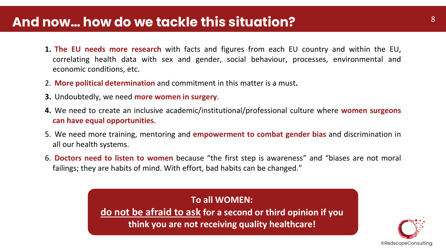### **And now… how do we tackle this situation?**

- **1. The EU needs more research** with facts and figures from each EU country and within the EU, correlating health data with sex and gender, social behaviour, processes, environmental and economic conditions, etc.
- 2. **More political determination** and commitment in this matter is a must**.**
- **3.** Undoubtedly, we need **more women in surgery**.
- **4.** We need to create an inclusive academic/institutional/professional culture where **women surgeons can have equal opportunities**.
- 5. We need more training, mentoring and **empowerment to combat gender bias** and discrimination in all our health systems.
- 6. **Doctors need to listen to women** because "the first step is awareness" and "biases are not moral failings; they are habits of mind. With effort, bad habits can be changed."

**To all WOMEN: do not be afraid to ask for a second or third opinion if you think you are not receiving quality healthcare!**

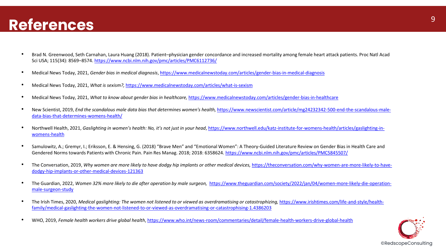- Brad N. Greenwood, Seth Carnahan, Laura Huang (2018). Patient–physician gender concordance and increased mortality among female heart attack patients. Proc Natl Acad Sci USA; 115(34): 8569–8574.<https://www.ncbi.nlm.nih.gov/pmc/articles/PMC6112736/>
- Medical News Today, 2021, *Gender bias in medical diagnosis*,<https://www.medicalnewstoday.com/articles/gender-bias-in-medical-diagnosis>
- Medical News Today, 2021, *What is sexism?,* <https://www.medicalnewstoday.com/articles/what-is-sexism>
- Medical News Today, 2021, *What to know about gender bias in healthcare,* https://www.medicalnewstoday.com/articles/gender-bias-in-healthcare
- New Scientist, 2019, *End the scandalous male data bias that determines women's health,* [https://www.newscientist.com/article/mg24232342-500-end-the-scandalous-male](https://www.newscientist.com/article/mg24232342-500-end-the-scandalous-male-data-bias-that-determines-womens-health/)data-bias-that-determines-womens-health/
- Northwell Health, 2021, *Gaslighting in women's health: No, it's not just in your head*[, https://www.northwell.edu/katz-institute-for-womens-health/articles/gaslighting-in](https://www.northwell.edu/katz-institute-for-womens-health/articles/gaslighting-in-womens-health)womens-health
- Samulowitz, A.; Gremyr, I.; Eriksson, E. & Hensing, G. (2018) "Brave Men" and "Emotional Women": A Theory-Guided Literature Review on Gender Bias in Health Care and Gendered Norms towards Patients with Chronic Pain. Pain Res Manag. 2018; 2018: 6358624. https://www.ncbi.nlm.nih.gov/pmc/articles/PMC5845507/
- The Conversation, 2019, *[Why women are more likely to have dodgy hip implants or other medical devices,](https://theconversation.com/why-women-are-more-likely-to-have-dodgy-hip-implants-or-other-medical-devices-121363) https://theconversation.com/why-women-are-more-likely-to-have*dodgy-hip-implants-or-other-medical-devices-121363
- The Guardian, 2022, *Women 32% more likely to die after operation by male surgeon,* [https://www.theguardian.com/society/2022/jan/04/women-more-likely-die-operation](https://www.theguardian.com/society/2022/jan/04/women-more-likely-die-operation-male-surgeon-study)male-surgeon-study
- The Irish Times, 2020, *Medical gaslighting: The women not listened to or viewed as overdramatising or catastrophizing,* https://www.irishtimes.com/life-and-style/health[family/medical-gaslighting-the-women-not-listened-to-or-viewed-as-overdramatising-or-catastrophising-1.4386203](https://www.irishtimes.com/life-and-style/health-family/medical-gaslighting-the-women-not-listened-to-or-viewed-as-overdramatising-or-catastrophising-1.4386203)
- WHO, 2019, *Female health workers drive global health*,<https://www.who.int/news-room/commentaries/detail/female-health-workers-drive-global-health>